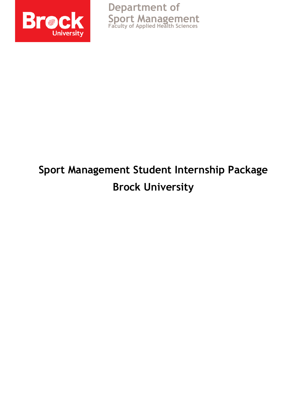

**Department of Sport Management Faculty of Applied Health Sciences**

# **Sport Management Student Internship Package Brock University**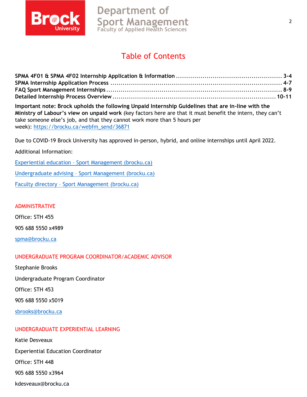

# **Department of Sport Management Faculty of Applied Health Sciences**

# Table of Contents

**Important note: Brock upholds the following Unpaid Internship Guidelines that are in-line with the Ministry of Labour's view on unpaid work** (key factors here are that it must benefit the intern, they can't take someone else's job, and that they cannot work more than 5 hours per week): [https://brocku.ca/webfm\\_send/36871](https://brocku.ca/webfm_send/36871)

Due to COVID-19 Brock University has approved in-person, hybrid, and online internships until April 2022.

#### Additional Information:

Experiential education – [Sport Management \(brocku.ca\)](https://brocku.ca/applied-health-sciences/sport-management/student-resources/experiential-education/)

Undergraduate advising – [Sport Management \(brocku.ca\)](https://brocku.ca/applied-health-sciences/sport-management/student-resources/undergraduate-programs/)

Faculty directory – [Sport Management \(brocku.ca\)](https://brocku.ca/applied-health-sciences/sport-management/faculty-research/faculty-directory/)

ADMINISTRATIVE

Office: STH 455

905 688 5550 x4989

[spma@brocku.ca](mailto:spma@brocku.ca)

#### UNDERGRADUATE PROGRAM COORDINATOR/ACADEMIC ADVISOR

Stephanie Brooks

Undergraduate Program Coordinator

Office: STH 453

905 688 5550 x5019

[sbrooks@brocku.ca](mailto:sbrooks@brocku.ca)

#### UNDERGRADUATE EXPERIENTIAL LEARNING

Katie Desveaux Experiential Education Coordinator Office: STH 448 905 688 5550 x3964 kdesveaux@brocku.ca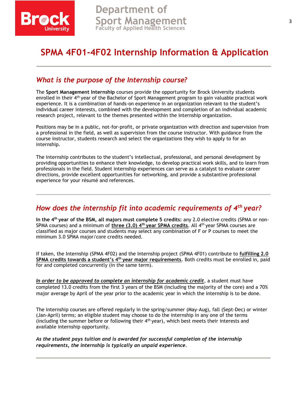

# **SPMA 4F01-4F02 Internship Information & Application**

## *What is the purpose of the Internship course?*

The **Sport Management Internship** courses provide the opportunity for Brock University students enrolled in their 4th year of the Bachelor of Sport Management program to gain valuable practical work experience. It is a combination of hands-on experience in an organization relevant to the student's individual career interests, combined with the development and completion of an individual academic research project, relevant to the themes presented within the internship organization.

Positions may be in a public, not-for-profit, or private organization with direction and supervision from a professional in the field, as well as supervision from the course instructor. With guidance from the course instructor, students research and select the organizations they wish to apply to for an internship.

The internship contributes to the student's intellectual, professional, and personal development by providing opportunities to enhance their knowledge, to develop practical work skills, and to learn from professionals in the field. Student internship experiences can serve as a catalyst to evaluate career directions, provide excellent opportunities for networking, and provide a substantive professional experience for your résumé and references.

### *How does the internship fit into academic requirements of 4th year?*

**In the 4th year of the BSM, all majors must complete 5 credits:** any 2.0 elective credits (SPMA or non-SPMA courses) and a minimum of **three (3.0) 4th year SPMA credits**. All 4th year SPMA courses are classified as major courses and students may select any combination of F or P courses to meet the minimum 3.0 SPMA major/core credits needed.

If taken, the Internship (SPMA 4F02) and the Internship project (SPMA 4F01) contribute to **fulfilling 2.0 SPMA credits towards a student's 4th year major requirements**. Both credits must be enrolled in, paid for and completed concurrently (in the same term).

*In order to be approved to complete an internship for academic credit*, a student must have completed 13.0 credits from the first 3 years of the BSM (including the majority of the core) and a 70% major average by April of the year prior to the academic year in which the internship is to be done.

The internship courses are offered regularly in the spring/summer (May-Aug), fall (Sept-Dec) or winter (Jan-April) terms; an eligible student may choose to do the internship in any one of the terms (including the summer before or following their  $4<sup>th</sup>$  year), which best meets their interests and available internship opportunity.

*As the student pays tuition and is awarded for successful completion of the internship requirements, the internship is typically an unpaid experience.*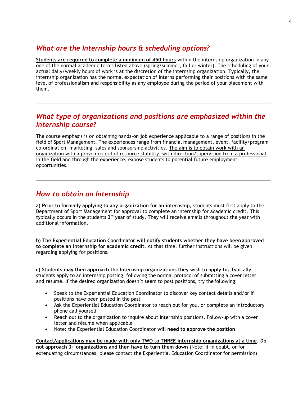### *What are the Internship hours & scheduling options?*

**Students are required to complete a minimum of 450 hours** within the internship organization in any one of the normal academic terms listed above (spring/summer, fall or winter). The scheduling of your actual daily/weekly hours of work is at the discretion of the internship organization. Typically, the internship organization has the normal expectation of interns performing their positions with the same level of professionalism and responsibility as any employee during the period of your placement with them.

### *What type of organizations and positions are emphasized within the Internship course?*

The course emphasis is on obtaining hands-on job experience applicable to a range of positions in the field of Sport Management. The experiences range from financial management, event, facility/program co-ordination, marketing, sales and sponsorship activities. The aim is to obtain work with an organization with a proven record of resource stability, with direction/supervision from a professional in the field and through the experience, expose students to potential future employment opportunities.

### *How to obtain an Internship*

**a) Prior to formally applying to any organization for an internship,** students must first apply to the Department of Sport Management for approval to complete an internship for academic credit. This typically occurs in the students  $3<sup>rd</sup>$  year of study. They will receive emails throughout the year with additional information.

**b) The Experiential Education Coordinator will notify students whether they have been approved to complete an internship for academic credit.** At that time, further instructions will be given regarding applying for positions.

**c) Students may then approach the Internship organizations they wish to apply to.** Typically, students apply to an internship posting, following the normal protocol of submitting a cover letter and résumé. If the desired organization doesn't seem to post positions, try the following:

- Speak to the Experiential Education Coordinator to discover key contact details and/or if positions have been posted in the past
- Ask the Experiential Education Coordinator to reach out for you, or complete an introductory phone call yourself
- Reach out to the organization to inquire about internship positions. Follow-up with a cover letter and résumé when applicable
- Note: the Experiential Education Coordinator **will need to approve the position**

**Contact/applications may be made with only TWO to THREE internship organizations at a time. Do not approach 3+ organizations and then have to turn them down** (Note: if in doubt, or for extenuating circumstances, please contact the Experiential Education Coordinator for permission)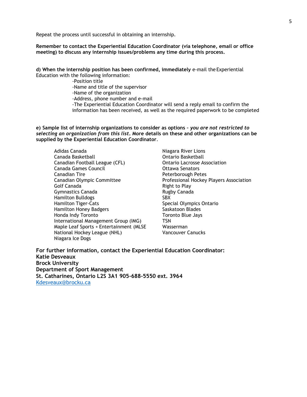Repeat the process until successful in obtaining an internship.

**Remember to contact the Experiential Education Coordinator (via telephone, email or office meeting) to discuss any internship issues/problems any time during this process.**

**d) When the internship position has been confirmed, immediately** e-mail the Experiential Education with the following information:

> -Position title -Name and title of the supervisor -Name of the organization -Address, phone number and e-mail -The Experiential Education Coordinator will send a reply email to confirm the information has been received, as well as the required paperwork to be completed

**e) Sample list of internship organizations to consider as options –** *you are not restricted to selecting an organization from this list***. More details on these and other organizations can be supplied by the Experiential Education Coordinator**.

Adidas Canada **Niagara River Lions** Canada Basketball **Canada Basketball** Canada Basketball Canadian Football League (CFL) Ontario Lacrosse Association Canada Games Council **Canada Games** Council **Canada** Senators Canadian Tire **Peterborough Peterborough Peter** Canadian Olympic Committee Professional Hockey Players Association Golf Canada **Right to Play** Gymnastics Canada **Rugby Canada** Rugby Canada Hamilton Bulldogs SBX Hamilton Tiger-Cats Special Olympics Ontario Hamilton Honey Badgers Saskatoon Blades Honda Indy Toronto **Toronto** Toronto Blue Jays International Management Group (IMG) TSN Maple Leaf Sports + Entertainment (MLSE Wasserman National Hockey League (NHL) Vancouver Canucks Niagara Ice Dogs

**For further information, contact the Experiential Education Coordinator: Katie Desveaux Brock University Department of Sport Management St. Catharines, Ontario L2S 3A1 905-688-5550 ext. 3964** [Kdesveaux@brocku.ca](mailto:Kdesveaux@brocku.ca)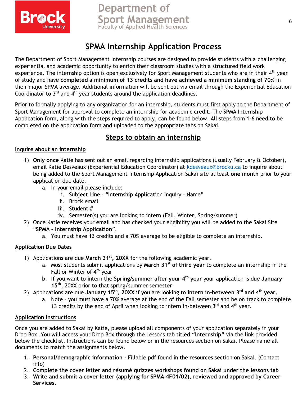

# **Department of Sport Management Faculty of Applied Health Sciences**

# **SPMA Internship Application Process**

The Department of Sport Management Internship courses are designed to provide students with a challenging experiential and academic opportunity to enrich their classroom studies with a structured field work experience. The internship option is open exclusively for Sport Management students who are in their  $4<sup>th</sup>$  year of study and have **completed a minimum of 13 credits and have achieved a minimum standing of 70%** in their major SPMA average. Additional information will be sent out via email through the Experiential Education Coordinator to  $3<sup>rd</sup>$  and  $4<sup>th</sup>$  year students around the application deadlines.

Prior to formally applying to any organization for an internship, students must first apply to the Department of Sport Management for approval to complete an internship for academic credit. The SPMA Internship Application form, along with the steps required to apply, can be found below. All steps from 1-6 need to be completed on the application form and uploaded to the appropriate tabs on Sakai.

# **Steps to obtain an internship**

#### **Inquire about an internship**

- 1) **Only once** Katie has sent out an email regarding internship applications (usually February & October), email Katie Desveaux (Experiential Education Coordinator) at [kdesveaux@brocku.ca](mailto:kdesveaux@brocku.ca) to inquire about being added to the Sport Management Internship Application Sakai site at least **one month** prior to your application due date.
	- a. In your email please include:
		- i. Subject Line "Internship Application Inquiry Name"
		- ii. Brock email
		- iii. Student #
		- iv. Semester(s) you are looking to intern (Fall, Winter, Spring/summer)
- 2) Once Katie receives your email and has checked your eligibility you will be added to the Sakai Site "**SPMA – Internship Application**".
	- a. You must have 13 credits and a 70% average to be eligible to complete an internship.

#### **Application Due Dates**

- 1) Applications are due **March 31st, 20XX** for the following academic year.
	- a. Most students submit applications by **March 31st of third year** to complete an internship in the Fall or Winter of  $4<sup>th</sup>$  year
	- b. If you want to intern the **Spring/summer after your 4th year** your application is due **January 15th**, 20XX prior to that spring/summer semester
- 2) Applications are due **January 15th, 20XX** if you are looking to **intern in-between 3rd and 4th year.** 
	- a. Note you must have a 70% average at the end of the Fall semester and be on track to complete 13 credits by the end of April when looking to intern in-between  $3<sup>rd</sup>$  and  $4<sup>th</sup>$  vear.

#### **Application Instructions**

Once you are added to Sakai by Katie, please upload all components of your application separately in your Drop Box. You will access your Drop Box through the Lessons tab titled **"Internship"** via the link provided below the checklist. Instructions can be found below or in the resources section on Sakai. Please name all documents to match the assignments below.

- 1. **Personal/demographic information** Fillable pdf found in the resources section on Sakai. (Contact info)
- 2. **Complete the cover letter and résumé quizzes workshops found on Sakai under the lessons tab**
- 3. **Write and submit a cover letter (applying for SPMA 4F01/02), reviewed and approved by Career Services.**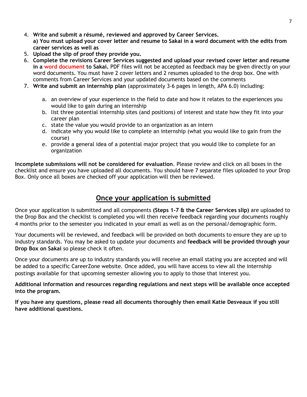- 4. **Write and submit a résumé, reviewed and approved by Career Services. a) You must upload your cover letter and resume to Sakai in a word document with the edits from career services as well as**
- 5. **Upload the slip of proof they provide you.**
- 6. **Complete the revisions Career Services suggested and upload your revised cover letter and resume in a word document to Sakai.** PDF files will not be accepted as feedback may be given directly on your word documents. You must have 2 cover letters and 2 resumes uploaded to the drop box. One with comments from Career Services and your updated documents based on the comments
- 7. **Write and submit an internship plan** (approximately 3-6 pages in length, APA 6.0) including:
	- a. an overview of your experience in the field to date and how it relates to the experiences you would like to gain during an internship
	- b. list three potential internship sites (and positions) of interest and state how they fit into your career plan
	- c. state the value you would provide to an organization as an intern
	- d. indicate why you would like to complete an internship (what you would like to gain from the course)
	- e. provide a general idea of a potential major project that you would like to complete for an organization

**Incomplete submissions will not be considered for evaluation**. Please review and click on all boxes in the checklist and ensure you have uploaded all documents. You should have 7 separate files uploaded to your Drop Box. Only once all boxes are checked off your application will then be reviewed.

#### **Once your application is submitted**

Once your application is submitted and all components **(Steps 1-7 & the Career Services slip)** are uploaded to the Drop Box and the checklist is completed you will then receive feedback regarding your documents roughly 4 months prior to the semester you indicated in your email as well as on the personal/demographic form.

Your documents will be reviewed, and feedback will be provided on both documents to ensure they are up to industry standards. You may be asked to update your documents and **feedback will be provided through your Drop Box on Sakai** so please check it often.

Once your documents are up to industry standards you will receive an email stating you are accepted and will be added to a specific CareerZone website. Once added, you will have access to view all the internship postings available for that upcoming semester allowing you to apply to those that interest you.

**Additional information and resources regarding regulations and next steps will be available once accepted into the program.** 

**If you have any questions, please read all documents thoroughly then email Katie Desveaux if you still have additional questions.**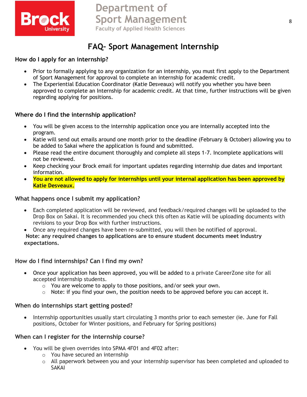

# **FAQ– Sport Management Internship**

#### **How do I apply for an internship?**

- Prior to formally applying to any organization for an internship, you must first apply to the Department of Sport Management for approval to complete an internship for academic credit.
- The Experiential Education Coordinator (Katie Desveaux) will notify you whether you have been approved to complete an Internship for academic credit. At that time, further instructions will be given regarding applying for positions.

#### **Where do I find the internship application?**

- You will be given access to the internship application once you are internally accepted into the program.
- Katie will send out emails around one month prior to the deadline (February & October) allowing you to be added to Sakai where the application is found and submitted.
- Please read the entire document thoroughly and complete all steps 1-7. Incomplete applications will not be reviewed.
- Keep checking your Brock email for important updates regarding internship due dates and important information.
- **You are not allowed to apply for internships until your internal application has been approved by Katie Desveaux.**

#### **What happens once I submit my application?**

- Each completed application will be reviewed, and feedback/required changes will be uploaded to the Drop Box on Sakai. It is recommended you check this often as Katie will be uploading documents with revisions to your Drop Box with further instructions.
- Once any required changes have been re-submitted, you will then be notified of approval. **Note: any required changes to applications are to ensure student documents meet industry expectations.**

#### **How do I find internships? Can I find my own?**

- Once your application has been approved, you will be added to a private CareerZone site for all accepted internship students.
	- o You are welcome to apply to those positions, and/or seek your own.
	- $\circ$  Note: if you find your own, the position needs to be approved before you can accept it.

#### **When do internships start getting posted?**

• Internship opportunities usually start circulating 3 months prior to each semester (ie. June for Fall positions, October for Winter positions, and February for Spring positions)

#### **When can I register for the internship course?**

- You will be given overrides into SPMA 4F01 and 4F02 after:
	- o You have secured an internship
	- o All paperwork between you and your internship supervisor has been completed and uploaded to SAKAI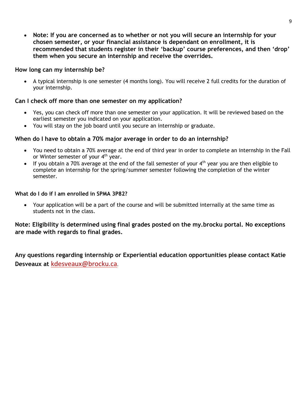• **Note: If you are concerned as to whether or not you will secure an internship for your chosen semester, or your financial assistance is dependant on enrollment, it is recommended that students register in their 'backup' course preferences, and then 'drop' them when you secure an internship and receive the overrides.** 

#### **How long can my internship be?**

• A typical internship is one semester (4 months long). You will receive 2 full credits for the duration of your internship.

#### **Can I check off more than one semester on my application?**

- Yes, you can check off more than one semester on your application. It will be reviewed based on the earliest semester you indicated on your application.
- You will stay on the job board until you secure an internship or graduate.

#### **When do I have to obtain a 70% major average in order to do an internship?**

- You need to obtain a 70% average at the end of third year in order to complete an internship in the Fall or Winter semester of your  $4<sup>th</sup>$  year.
- If you obtain a 70% average at the end of the fall semester of your  $4<sup>th</sup>$  year you are then eligible to complete an internship for the spring/summer semester following the completion of the winter semester.

#### **What do I do if I am enrolled in SPMA 3P82?**

• Your application will be a part of the course and will be submitted internally at the same time as students not in the class.

#### **Note: Eligibility is determined using final grades posted on the my.brocku portal. No exceptions are made with regards to final grades.**

**Any questions regarding internship or Experiential education opportunities please contact Katie Desveaux at** [kdesveaux@brocku.ca](mailto:kdesveaux@brocku.ca).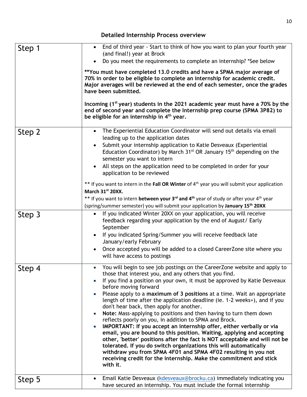| Step 1 | End of third year - Start to think of how you want to plan your fourth year<br>$\bullet$<br>(and final!) year at Brock<br>Do you meet the requirements to complete an internship? *See below<br>**You must have completed 13.0 credits and have a SPMA major average of<br>70% in order to be eligible to complete an internship for academic credit.<br>Major averages will be reviewed at the end of each semester, once the grades<br>have been submitted.                                                                                                                                                                                                                                                                                                                                                                                                                                                                                                                                                                                                       |
|--------|---------------------------------------------------------------------------------------------------------------------------------------------------------------------------------------------------------------------------------------------------------------------------------------------------------------------------------------------------------------------------------------------------------------------------------------------------------------------------------------------------------------------------------------------------------------------------------------------------------------------------------------------------------------------------------------------------------------------------------------------------------------------------------------------------------------------------------------------------------------------------------------------------------------------------------------------------------------------------------------------------------------------------------------------------------------------|
|        | Incoming (1 <sup>st</sup> year) students in the 2021 academic year must have a 70% by the<br>end of second year and complete the Internship prep course (SPMA 3P82) to<br>be eligible for an internship in 4 <sup>th</sup> year.                                                                                                                                                                                                                                                                                                                                                                                                                                                                                                                                                                                                                                                                                                                                                                                                                                    |
| Step 2 | The Experiential Education Coordinator will send out details via email<br>$\bullet$<br>leading up to the application dates<br>Submit your internship application to Katie Desveaux (Experiential<br>$\bullet$<br>Education Coordinator) by March 31 <sup>st</sup> OR January 15 <sup>th</sup> depending on the<br>semester you want to intern<br>All steps on the application need to be completed in order for your<br>application to be reviewed                                                                                                                                                                                                                                                                                                                                                                                                                                                                                                                                                                                                                  |
|        | ** If you want to intern in the Fall OR Winter of 4 <sup>th</sup> year you will submit your application<br>March 31st 20XX.<br>** If you want to intern <b>between your 3<sup>rd</sup> and 4<sup>th</sup> year of study or after your 4<sup>th</sup> year</b><br>(spring/summer semester) you will submit your application by January 15 <sup>th</sup> 20XX                                                                                                                                                                                                                                                                                                                                                                                                                                                                                                                                                                                                                                                                                                         |
| Step 3 | If you indicated Winter 20XX on your application, you will receive<br>$\bullet$<br>feedback regarding your application by the end of August/ Early<br>September<br>If you indicated Spring/Summer you will receive feedback late<br>$\bullet$<br>January/early February<br>Once accepted you will be added to a closed Career Zone site where you<br>$\bullet$<br>will have access to postings                                                                                                                                                                                                                                                                                                                                                                                                                                                                                                                                                                                                                                                                      |
| Step 4 | • You will begin to see job postings on the CareerZone website and apply to<br>those that interest you, and any others that you find.<br>If you find a position on your own, it must be approved by Katie Desveaux<br>before moving forward<br>Please apply to a maximum of 3 positions at a time. Wait an appropriate<br>$\bullet$<br>length of time after the application deadline (ie. 1-2 weeks+), and if you<br>don't hear back, then apply for another.<br>Note: Mass-applying to positions and then having to turn them down<br>reflects poorly on you, in addition to SPMA and Brock.<br>IMPORTANT: If you accept an internship offer, either verbally or via<br>$\bullet$<br>email, you are bound to this position. Waiting, applying and accepting<br>other, 'better' positions after the fact is NOT acceptable and will not be<br>tolerated. If you do switch organizations this will automatically<br>withdraw you from SPMA 4F01 and SPMA 4F02 resulting in you not<br>receiving credit for the internship. Make the commitment and stick<br>with it. |
| Step 5 | Email Katie Desveaux (kdesveaux@brocku.ca) immediately indicating you<br>$\bullet$<br>have secured an internship. You must include the formal internship                                                                                                                                                                                                                                                                                                                                                                                                                                                                                                                                                                                                                                                                                                                                                                                                                                                                                                            |